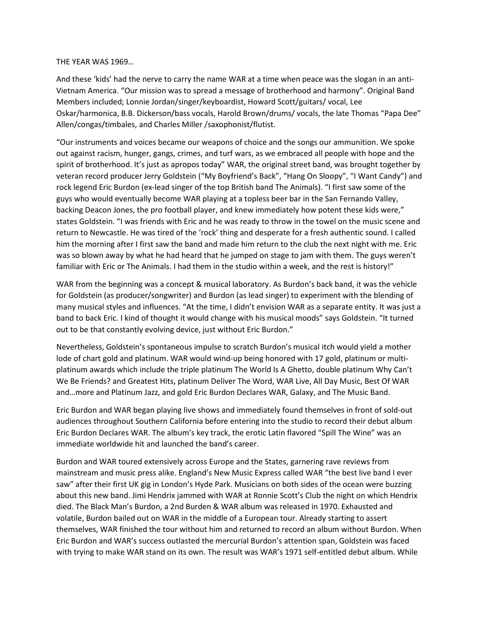## THE YEAR WAS 1969…

And these 'kids' had the nerve to carry the name WAR at a time when peace was the slogan in an anti-Vietnam America. "Our mission was to spread a message of brotherhood and harmony". Original Band Members included; Lonnie Jordan/singer/keyboardist, Howard Scott/guitars/ vocal, Lee Oskar/harmonica, B.B. Dickerson/bass vocals, Harold Brown/drums/ vocals, the late Thomas "Papa Dee" Allen/congas/timbales, and Charles Miller /saxophonist/flutist.

"Our instruments and voices became our weapons of choice and the songs our ammunition. We spoke out against racism, hunger, gangs, crimes, and turf wars, as we embraced all people with hope and the spirit of brotherhood. It's just as apropos today" WAR, the original street band, was brought together by veteran record producer Jerry Goldstein ("My Boyfriend's Back", "Hang On Sloopy", "I Want Candy") and rock legend Eric Burdon (ex-lead singer of the top British band The Animals). "I first saw some of the guys who would eventually become WAR playing at a topless beer bar in the San Fernando Valley, backing Deacon Jones, the pro football player, and knew immediately how potent these kids were," states Goldstein. "I was friends with Eric and he was ready to throw in the towel on the music scene and return to Newcastle. He was tired of the 'rock' thing and desperate for a fresh authentic sound. I called him the morning after I first saw the band and made him return to the club the next night with me. Eric was so blown away by what he had heard that he jumped on stage to jam with them. The guys weren't familiar with Eric or The Animals. I had them in the studio within a week, and the rest is history!"

WAR from the beginning was a concept & musical laboratory. As Burdon's back band, it was the vehicle for Goldstein (as producer/songwriter) and Burdon (as lead singer) to experiment with the blending of many musical styles and influences. "At the time, I didn't envision WAR as a separate entity. It was just a band to back Eric. I kind of thought it would change with his musical moods" says Goldstein. "It turned out to be that constantly evolving device, just without Eric Burdon."

Nevertheless, Goldstein's spontaneous impulse to scratch Burdon's musical itch would yield a mother lode of chart gold and platinum. WAR would wind-up being honored with 17 gold, platinum or multiplatinum awards which include the triple platinum The World Is A Ghetto, double platinum Why Can't We Be Friends? and Greatest Hits, platinum Deliver The Word, WAR Live, All Day Music, Best Of WAR and…more and Platinum Jazz, and gold Eric Burdon Declares WAR, Galaxy, and The Music Band.

Eric Burdon and WAR began playing live shows and immediately found themselves in front of sold-out audiences throughout Southern California before entering into the studio to record their debut album Eric Burdon Declares WAR. The album's key track, the erotic Latin flavored "Spill The Wine" was an immediate worldwide hit and launched the band's career.

Burdon and WAR toured extensively across Europe and the States, garnering rave reviews from mainstream and music press alike. England's New Music Express called WAR "the best live band I ever saw" after their first UK gig in London's Hyde Park. Musicians on both sides of the ocean were buzzing about this new band. Jimi Hendrix jammed with WAR at Ronnie Scott's Club the night on which Hendrix died. The Black Man's Burdon, a 2nd Burden & WAR album was released in 1970. Exhausted and volatile, Burdon bailed out on WAR in the middle of a European tour. Already starting to assert themselves, WAR finished the tour without him and returned to record an album without Burdon. When Eric Burdon and WAR's success outlasted the mercurial Burdon's attention span, Goldstein was faced with trying to make WAR stand on its own. The result was WAR's 1971 self-entitled debut album. While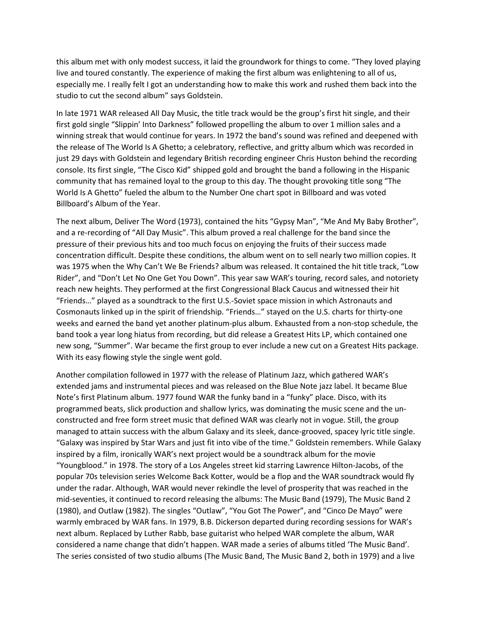this album met with only modest success, it laid the groundwork for things to come. "They loved playing live and toured constantly. The experience of making the first album was enlightening to all of us, especially me. I really felt I got an understanding how to make this work and rushed them back into the studio to cut the second album" says Goldstein.

In late 1971 WAR released All Day Music, the title track would be the group's first hit single, and their first gold single "Slippin' Into Darkness" followed propelling the album to over 1 million sales and a winning streak that would continue for years. In 1972 the band's sound was refined and deepened with the release of The World Is A Ghetto; a celebratory, reflective, and gritty album which was recorded in just 29 days with Goldstein and legendary British recording engineer Chris Huston behind the recording console. Its first single, "The Cisco Kid" shipped gold and brought the band a following in the Hispanic community that has remained loyal to the group to this day. The thought provoking title song "The World Is A Ghetto" fueled the album to the Number One chart spot in Billboard and was voted Billboard's Album of the Year.

The next album, Deliver The Word (1973), contained the hits "Gypsy Man", "Me And My Baby Brother", and a re-recording of "All Day Music". This album proved a real challenge for the band since the pressure of their previous hits and too much focus on enjoying the fruits of their success made concentration difficult. Despite these conditions, the album went on to sell nearly two million copies. It was 1975 when the Why Can't We Be Friends? album was released. It contained the hit title track, "Low Rider", and "Don't Let No One Get You Down". This year saw WAR's touring, record sales, and notoriety reach new heights. They performed at the first Congressional Black Caucus and witnessed their hit "Friends…" played as a soundtrack to the first U.S.-Soviet space mission in which Astronauts and Cosmonauts linked up in the spirit of friendship. "Friends…" stayed on the U.S. charts for thirty-one weeks and earned the band yet another platinum-plus album. Exhausted from a non-stop schedule, the band took a year long hiatus from recording, but did release a Greatest Hits LP, which contained one new song, "Summer". War became the first group to ever include a new cut on a Greatest Hits package. With its easy flowing style the single went gold.

Another compilation followed in 1977 with the release of Platinum Jazz, which gathered WAR's extended jams and instrumental pieces and was released on the Blue Note jazz label. It became Blue Note's first Platinum album. 1977 found WAR the funky band in a "funky" place. Disco, with its programmed beats, slick production and shallow lyrics, was dominating the music scene and the unconstructed and free form street music that defined WAR was clearly not in vogue. Still, the group managed to attain success with the album Galaxy and its sleek, dance-grooved, spacey lyric title single. "Galaxy was inspired by Star Wars and just fit into vibe of the time." Goldstein remembers. While Galaxy inspired by a film, ironically WAR's next project would be a soundtrack album for the movie "Youngblood." in 1978. The story of a Los Angeles street kid starring Lawrence Hilton-Jacobs, of the popular 70s television series Welcome Back Kotter, would be a flop and the WAR soundtrack would fly under the radar. Although, WAR would never rekindle the level of prosperity that was reached in the mid-seventies, it continued to record releasing the albums: The Music Band (1979), The Music Band 2 (1980), and Outlaw (1982). The singles "Outlaw", "You Got The Power", and "Cinco De Mayo" were warmly embraced by WAR fans. In 1979, B.B. Dickerson departed during recording sessions for WAR's next album. Replaced by Luther Rabb, base guitarist who helped WAR complete the album, WAR considered a name change that didn't happen. WAR made a series of albums titled 'The Music Band'. The series consisted of two studio albums (The Music Band, The Music Band 2, both in 1979) and a live